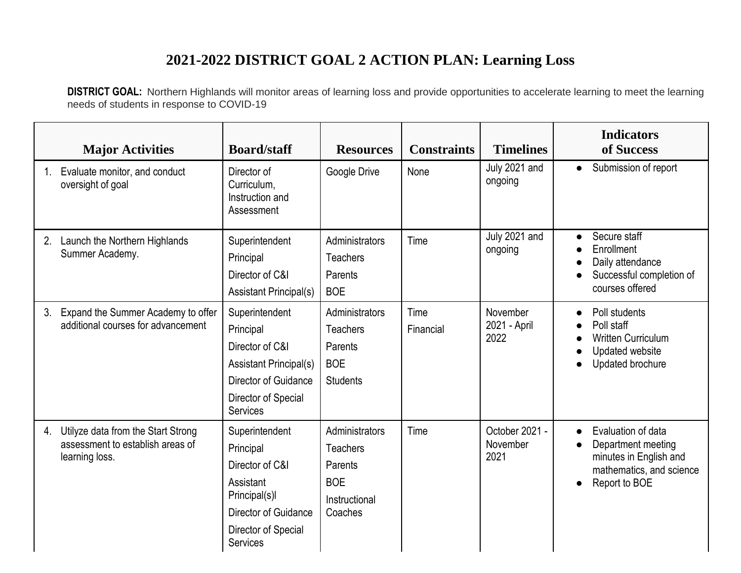## **2021-2022 DISTRICT GOAL 2 ACTION PLAN: Learning Loss**

**DISTRICT GOAL:** Northern Highlands will monitor areas of learning loss and provide opportunities to accelerate learning to meet the learning needs of students in response to COVID-19

|    | <b>Major Activities</b>                                                                  | <b>Board/staff</b>                                                                                                                             | <b>Resources</b>                                                                       | <b>Constraints</b> | <b>Timelines</b>                   | <b>Indicators</b><br>of Success                                                                                                                        |
|----|------------------------------------------------------------------------------------------|------------------------------------------------------------------------------------------------------------------------------------------------|----------------------------------------------------------------------------------------|--------------------|------------------------------------|--------------------------------------------------------------------------------------------------------------------------------------------------------|
|    | Evaluate monitor, and conduct<br>oversight of goal                                       | Director of<br>Curriculum,<br>Instruction and<br>Assessment                                                                                    | Google Drive                                                                           | None               | July 2021 and<br>ongoing           | Submission of report<br>$\bullet$                                                                                                                      |
| 2. | Launch the Northern Highlands<br>Summer Academy.                                         | Superintendent<br>Principal<br>Director of C&I<br><b>Assistant Principal(s)</b>                                                                | Administrators<br><b>Teachers</b><br>Parents<br><b>BOE</b>                             | Time               | July 2021 and<br>ongoing           | Secure staff<br>Enrollment<br>Daily attendance<br>Successful completion of<br>courses offered                                                          |
| 3. | Expand the Summer Academy to offer<br>additional courses for advancement                 | Superintendent<br>Principal<br>Director of C&I<br><b>Assistant Principal(s)</b><br>Director of Guidance<br>Director of Special<br>Services     | Administrators<br><b>Teachers</b><br>Parents<br><b>BOE</b><br><b>Students</b>          | Time<br>Financial  | November<br>2021 - April<br>2022   | Poll students<br>Poll staff<br><b>Written Curriculum</b><br>Updated website<br>Updated brochure                                                        |
| 4. | Utilyze data from the Start Strong<br>assessment to establish areas of<br>learning loss. | Superintendent<br>Principal<br>Director of C&I<br>Assistant<br>Principal(s)I<br>Director of Guidance<br>Director of Special<br><b>Services</b> | Administrators<br><b>Teachers</b><br>Parents<br><b>BOE</b><br>Instructional<br>Coaches | Time               | October 2021 -<br>November<br>2021 | Evaluation of data<br>$\bullet$<br>Department meeting<br>$\bullet$<br>minutes in English and<br>mathematics, and science<br>Report to BOE<br>$\bullet$ |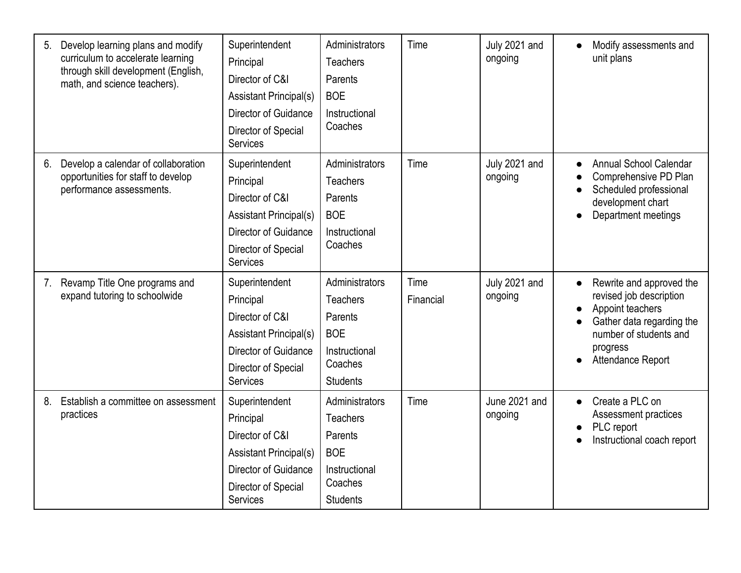| 5. | Develop learning plans and modify<br>curriculum to accelerate learning<br>through skill development (English,<br>math, and science teachers). | Superintendent<br>Principal<br>Director of C&I<br><b>Assistant Principal(s)</b><br>Director of Guidance<br>Director of Special<br>Services        | Administrators<br><b>Teachers</b><br>Parents<br><b>BOE</b><br>Instructional<br>Coaches                    | Time              | July 2021 and<br>ongoing | Modify assessments and<br>unit plans                                                                                                                            |
|----|-----------------------------------------------------------------------------------------------------------------------------------------------|---------------------------------------------------------------------------------------------------------------------------------------------------|-----------------------------------------------------------------------------------------------------------|-------------------|--------------------------|-----------------------------------------------------------------------------------------------------------------------------------------------------------------|
| 6. | Develop a calendar of collaboration<br>opportunities for staff to develop<br>performance assessments.                                         | Superintendent<br>Principal<br>Director of C&I<br><b>Assistant Principal(s)</b><br>Director of Guidance<br>Director of Special<br>Services        | Administrators<br><b>Teachers</b><br>Parents<br><b>BOE</b><br>Instructional<br>Coaches                    | Time              | July 2021 and<br>ongoing | Annual School Calendar<br>Comprehensive PD Plan<br>Scheduled professional<br>development chart<br>Department meetings                                           |
| 7. | Revamp Title One programs and<br>expand tutoring to schoolwide                                                                                | Superintendent<br>Principal<br>Director of C&I<br><b>Assistant Principal(s)</b><br>Director of Guidance<br>Director of Special<br>Services        | Administrators<br><b>Teachers</b><br>Parents<br><b>BOE</b><br>Instructional<br>Coaches<br><b>Students</b> | Time<br>Financial | July 2021 and<br>ongoing | Rewrite and approved the<br>revised job description<br>Appoint teachers<br>Gather data regarding the<br>number of students and<br>progress<br>Attendance Report |
| 8. | Establish a committee on assessment<br>practices                                                                                              | Superintendent<br>Principal<br>Director of C&I<br><b>Assistant Principal(s)</b><br>Director of Guidance<br>Director of Special<br><b>Services</b> | Administrators<br><b>Teachers</b><br>Parents<br><b>BOE</b><br>Instructional<br>Coaches<br><b>Students</b> | Time              | June 2021 and<br>ongoing | Create a PLC on<br>$\bullet$<br>Assessment practices<br>PLC report<br>Instructional coach report                                                                |